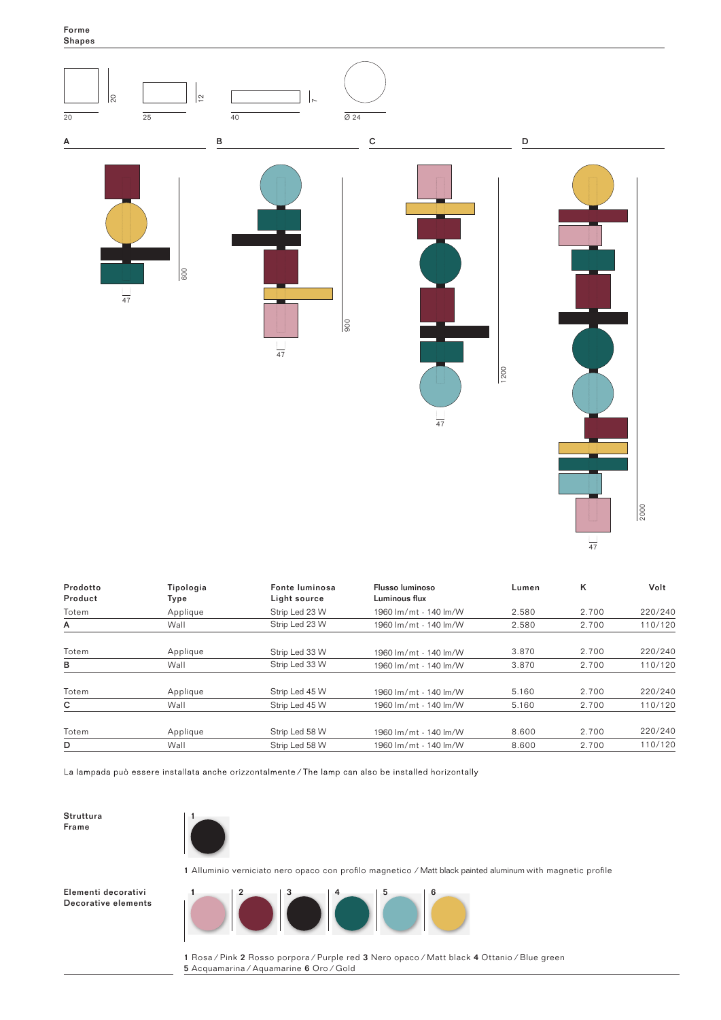Forme Shapes



| Prodotto<br>Product | Tipologia<br>Type | Fonte luminosa<br>Light source | Flusso luminoso<br>Luminous flux | Lumen | ĸ     | Volt    |
|---------------------|-------------------|--------------------------------|----------------------------------|-------|-------|---------|
| Totem               | Applique          | Strip Led 23 W                 | 1960 lm/mt - 140 lm/W            | 2.580 | 2.700 | 220/240 |
| A                   | Wall              | Strip Led 23 W                 | 1960 lm/mt - 140 lm/W            | 2.580 | 2.700 | 110/120 |
| Totem               | Applique          | Strip Led 33 W                 | 1960 lm/mt - 140 lm/W            | 3.870 | 2.700 | 220/240 |
| в                   | Wall              | Strip Led 33 W                 | 1960 lm/mt - 140 lm/W            | 3.870 | 2.700 | 110/120 |
| Totem               | Applique          | Strip Led 45 W                 | 1960 lm/mt - 140 lm/W            | 5.160 | 2.700 | 220/240 |
| C                   | Wall              | Strip Led 45 W                 | 1960 lm/mt - 140 lm/W            | 5.160 | 2.700 | 110/120 |
| Totem               | Applique          | Strip Led 58 W                 | 1960 lm/mt - 140 lm/W            | 8.600 | 2.700 | 220/240 |
| D                   | Wall              | Strip Led 58 W                 | 1960 lm/mt - 140 lm/W            | 8.600 | 2.700 | 110/120 |

La lampada può essere installata anche orizzontalmente / The lamp can also be installed horizontally

Struttura Frame



1 Alluminio verniciato nero opaco con profilo magnetico ⁄ Matt black painted aluminum with magnetic profile

Elementi decorativi Decorative elements



1 Rosa ⁄ Pink 2 Rosso porpora ⁄ Purple red 3 Nero opaco ⁄ Matt black 4 Ottanio ⁄ Blue green 5 Acquamarina ⁄ Aquamarine 6 Oro ⁄ Gold